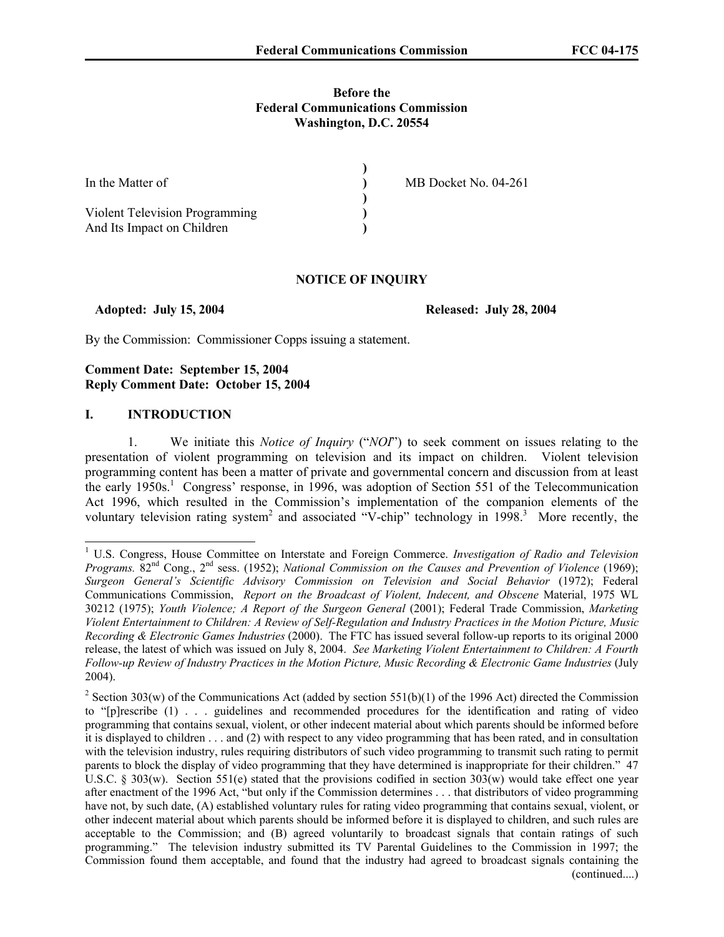### **Before the Federal Communications Commission Washington, D.C. 20554**

| In the Matter of               | MB Docket No. 04-261 |
|--------------------------------|----------------------|
|                                |                      |
| Violent Television Programming |                      |
| And Its Impact on Children     |                      |

### **NOTICE OF INQUIRY**

 **Adopted: July 15, 2004 Released: July 28, 2004** 

By the Commission: Commissioner Copps issuing a statement.

# **Comment Date: September 15, 2004 Reply Comment Date: October 15, 2004**

### **I. INTRODUCTION**

 $\overline{a}$ 

1. We initiate this *Notice of Inquiry* ("*NOI*") to seek comment on issues relating to the presentation of violent programming on television and its impact on children. Violent television programming content has been a matter of private and governmental concern and discussion from at least the early  $1950s<sup>1</sup>$  Congress' response, in 1996, was adoption of Section 551 of the Telecommunication Act 1996, which resulted in the Commission's implementation of the companion elements of the voluntary television rating system<sup>2</sup> and associated "V-chip" technology in 1998.<sup>3</sup> More recently, the

<sup>&</sup>lt;sup>1</sup> U.S. Congress, House Committee on Interstate and Foreign Commerce. *Investigation of Radio and Television Programs.*  $82<sup>nd</sup>$  Cong.,  $2<sup>nd</sup>$  sess. (1952); *National Commission on the Causes and Prevention of Violence* (1969); *Surgeon General's Scientific Advisory Commission on Television and Social Behavior* (1972); Federal Communications Commission, *Report on the Broadcast of Violent, Indecent, and Obscene* Material, 1975 WL 30212 (1975); *Youth Violence; A Report of the Surgeon General* (2001); Federal Trade Commission, *Marketing Violent Entertainment to Children: A Review of Self-Regulation and Industry Practices in the Motion Picture, Music Recording & Electronic Games Industries* (2000). The FTC has issued several follow-up reports to its original 2000 release, the latest of which was issued on July 8, 2004. *See Marketing Violent Entertainment to Children: A Fourth Follow-up Review of Industry Practices in the Motion Picture, Music Recording & Electronic Game Industries* (July 2004).

<sup>&</sup>lt;sup>2</sup> Section 303(w) of the Communications Act (added by section 551(b)(1) of the 1996 Act) directed the Commission to "[p]rescribe (1) . . . guidelines and recommended procedures for the identification and rating of video programming that contains sexual, violent, or other indecent material about which parents should be informed before it is displayed to children . . . and (2) with respect to any video programming that has been rated, and in consultation with the television industry, rules requiring distributors of such video programming to transmit such rating to permit parents to block the display of video programming that they have determined is inappropriate for their children." 47 U.S.C. § 303(w). Section 551(e) stated that the provisions codified in section 303(w) would take effect one year after enactment of the 1996 Act, "but only if the Commission determines . . . that distributors of video programming have not, by such date, (A) established voluntary rules for rating video programming that contains sexual, violent, or other indecent material about which parents should be informed before it is displayed to children, and such rules are acceptable to the Commission; and (B) agreed voluntarily to broadcast signals that contain ratings of such programming." The television industry submitted its TV Parental Guidelines to the Commission in 1997; the Commission found them acceptable, and found that the industry had agreed to broadcast signals containing the (continued....)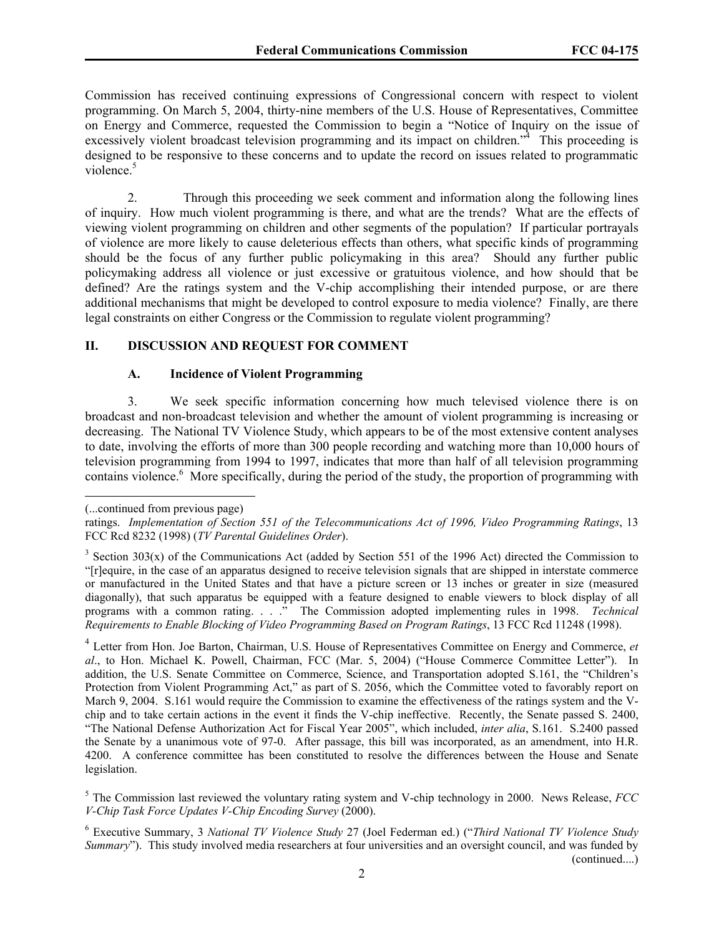Commission has received continuing expressions of Congressional concern with respect to violent programming. On March 5, 2004, thirty-nine members of the U.S. House of Representatives, Committee on Energy and Commerce, requested the Commission to begin a "Notice of Inquiry on the issue of excessively violent broadcast television programming and its impact on children."<sup>4</sup> This proceeding is designed to be responsive to these concerns and to update the record on issues related to programmatic violence.<sup>5</sup>

2. Through this proceeding we seek comment and information along the following lines of inquiry. How much violent programming is there, and what are the trends? What are the effects of viewing violent programming on children and other segments of the population? If particular portrayals of violence are more likely to cause deleterious effects than others, what specific kinds of programming should be the focus of any further public policymaking in this area? Should any further public policymaking address all violence or just excessive or gratuitous violence, and how should that be defined? Are the ratings system and the V-chip accomplishing their intended purpose, or are there additional mechanisms that might be developed to control exposure to media violence? Finally, are there legal constraints on either Congress or the Commission to regulate violent programming?

# **II. DISCUSSION AND REQUEST FOR COMMENT**

### **A. Incidence of Violent Programming**

3. We seek specific information concerning how much televised violence there is on broadcast and non-broadcast television and whether the amount of violent programming is increasing or decreasing. The National TV Violence Study, which appears to be of the most extensive content analyses to date, involving the efforts of more than 300 people recording and watching more than 10,000 hours of television programming from 1994 to 1997, indicates that more than half of all television programming contains violence.<sup>6</sup> More specifically, during the period of the study, the proportion of programming with

 $\overline{a}$ 

<sup>(...</sup>continued from previous page)

ratings. *Implementation of Section 551 of the Telecommunications Act of 1996, Video Programming Ratings*, 13 FCC Rcd 8232 (1998) (*TV Parental Guidelines Order*).

 $3$  Section 303(x) of the Communications Act (added by Section 551 of the 1996 Act) directed the Commission to "[r]equire, in the case of an apparatus designed to receive television signals that are shipped in interstate commerce or manufactured in the United States and that have a picture screen or 13 inches or greater in size (measured diagonally), that such apparatus be equipped with a feature designed to enable viewers to block display of all programs with a common rating. . . ." The Commission adopted implementing rules in 1998. *Technical Requirements to Enable Blocking of Video Programming Based on Program Ratings*, 13 FCC Rcd 11248 (1998).

<sup>4</sup> Letter from Hon. Joe Barton, Chairman, U.S. House of Representatives Committee on Energy and Commerce, *et al*., to Hon. Michael K. Powell, Chairman, FCC (Mar. 5, 2004) ("House Commerce Committee Letter"). In addition, the U.S. Senate Committee on Commerce, Science, and Transportation adopted S.161, the "Children's Protection from Violent Programming Act," as part of S. 2056, which the Committee voted to favorably report on March 9, 2004. S.161 would require the Commission to examine the effectiveness of the ratings system and the Vchip and to take certain actions in the event it finds the V-chip ineffective. Recently, the Senate passed S. 2400, "The National Defense Authorization Act for Fiscal Year 2005", which included, *inter alia*, S.161. S.2400 passed the Senate by a unanimous vote of 97-0. After passage, this bill was incorporated, as an amendment, into H.R. 4200. A conference committee has been constituted to resolve the differences between the House and Senate legislation.

<sup>5</sup> The Commission last reviewed the voluntary rating system and V-chip technology in 2000. News Release, *FCC V-Chip Task Force Updates V-Chip Encoding Survey* (2000).

<sup>6</sup> Executive Summary, 3 *National TV Violence Study* 27 (Joel Federman ed.) ("*Third National TV Violence Study Summary*"). This study involved media researchers at four universities and an oversight council, and was funded by (continued....)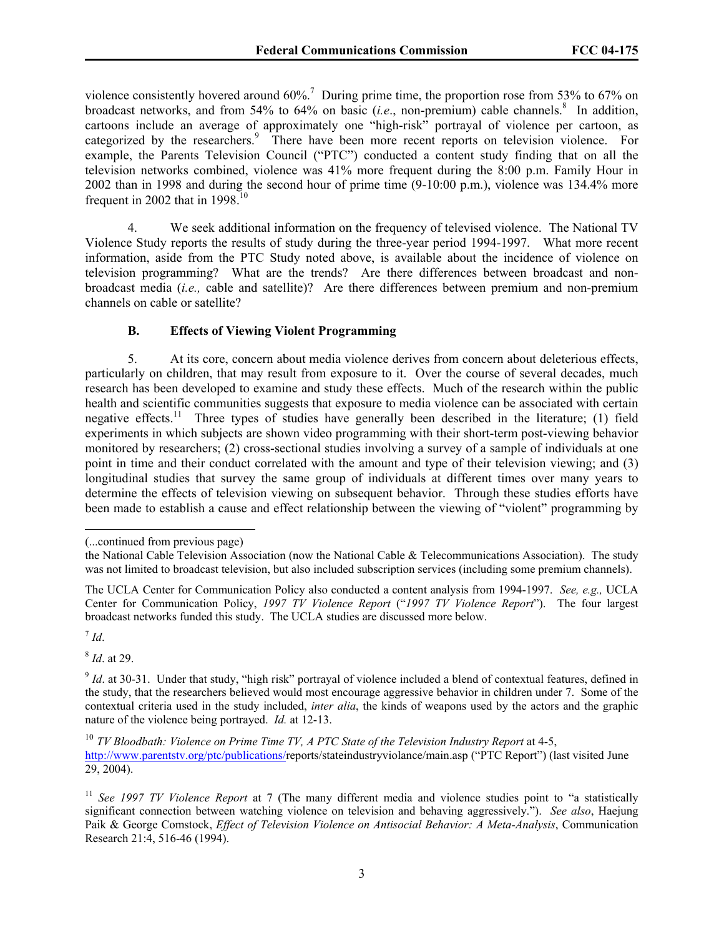violence consistently hovered around  $60\%$ .<sup>7</sup> During prime time, the proportion rose from 53% to 67% on broadcast networks, and from 54% to 64% on basic (*i.e.*, non-premium) cable channels.<sup>8</sup> In addition, cartoons include an average of approximately one "high-risk" portrayal of violence per cartoon, as categorized by the researchers.<sup>9</sup> There have been more recent reports on television violence. For example, the Parents Television Council ("PTC") conducted a content study finding that on all the television networks combined, violence was 41% more frequent during the 8:00 p.m. Family Hour in 2002 than in 1998 and during the second hour of prime time (9-10:00 p.m.), violence was 134.4% more frequent in 2002 that in  $1998$ <sup>10</sup>

4. We seek additional information on the frequency of televised violence. The National TV Violence Study reports the results of study during the three-year period 1994-1997. What more recent information, aside from the PTC Study noted above, is available about the incidence of violence on television programming? What are the trends? Are there differences between broadcast and nonbroadcast media (*i.e.,* cable and satellite)? Are there differences between premium and non-premium channels on cable or satellite?

# **B. Effects of Viewing Violent Programming**

5. At its core, concern about media violence derives from concern about deleterious effects, particularly on children, that may result from exposure to it. Over the course of several decades, much research has been developed to examine and study these effects. Much of the research within the public health and scientific communities suggests that exposure to media violence can be associated with certain negative effects.<sup>11</sup> Three types of studies have generally been described in the literature; (1) field experiments in which subjects are shown video programming with their short-term post-viewing behavior monitored by researchers; (2) cross-sectional studies involving a survey of a sample of individuals at one point in time and their conduct correlated with the amount and type of their television viewing; and (3) longitudinal studies that survey the same group of individuals at different times over many years to determine the effects of television viewing on subsequent behavior. Through these studies efforts have been made to establish a cause and effect relationship between the viewing of "violent" programming by

 $^7$  *Id.* 

 $\overline{\phantom{a}}$ 

<sup>8</sup> *Id*. at 29.

<sup>(...</sup>continued from previous page)

the National Cable Television Association (now the National Cable & Telecommunications Association). The study was not limited to broadcast television, but also included subscription services (including some premium channels).

The UCLA Center for Communication Policy also conducted a content analysis from 1994-1997. *See, e.g.,* UCLA Center for Communication Policy, *1997 TV Violence Report* ("*1997 TV Violence Report*"). The four largest broadcast networks funded this study. The UCLA studies are discussed more below.

<sup>&</sup>lt;sup>9</sup> *Id*. at 30-31. Under that study, "high risk" portrayal of violence included a blend of contextual features, defined in the study, that the researchers believed would most encourage aggressive behavior in children under 7. Some of the contextual criteria used in the study included, *inter alia*, the kinds of weapons used by the actors and the graphic nature of the violence being portrayed. *Id.* at 12-13.

<sup>&</sup>lt;sup>10</sup> *TV Bloodbath: Violence on Prime Time TV, A PTC State of the Television Industry Report* at 4-5, http://www.parentstv.org/ptc/publications/reports/stateindustryviolance/main.asp ("PTC Report") (last visited June 29, 2004).

<sup>11</sup> *See 1997 TV Violence Report* at 7 (The many different media and violence studies point to "a statistically significant connection between watching violence on television and behaving aggressively."). *See also*, Haejung Paik & George Comstock, *Effect of Television Violence on Antisocial Behavior: A Meta-Analysis*, Communication Research 21:4, 516-46 (1994).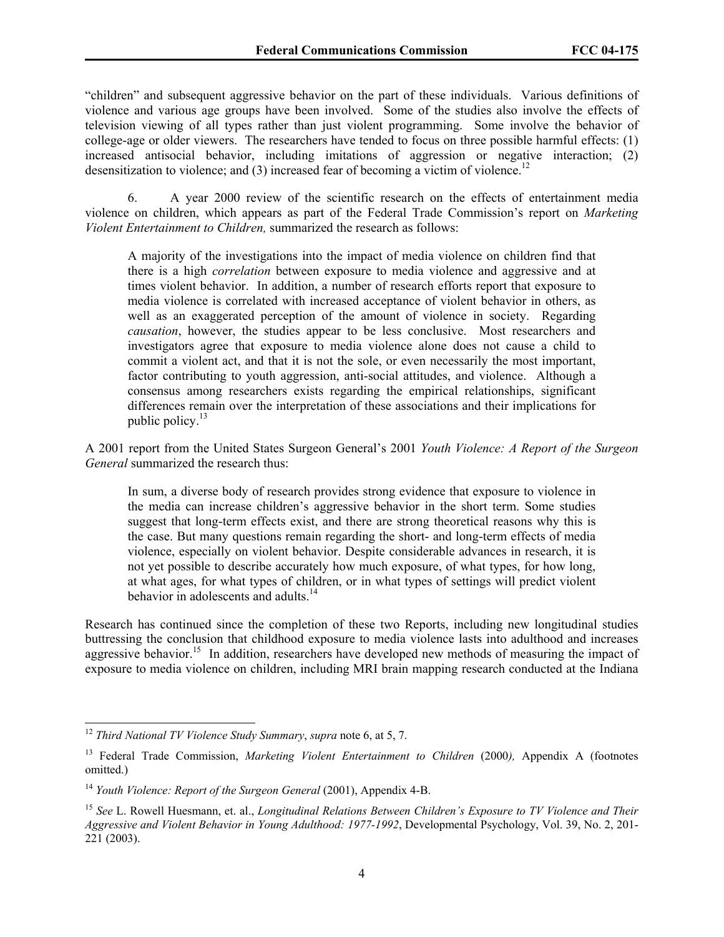"children" and subsequent aggressive behavior on the part of these individuals. Various definitions of violence and various age groups have been involved. Some of the studies also involve the effects of television viewing of all types rather than just violent programming. Some involve the behavior of college-age or older viewers. The researchers have tended to focus on three possible harmful effects: (1) increased antisocial behavior, including imitations of aggression or negative interaction; (2) desensitization to violence; and  $(3)$  increased fear of becoming a victim of violence.<sup>12</sup>

6. A year 2000 review of the scientific research on the effects of entertainment media violence on children, which appears as part of the Federal Trade Commission's report on *Marketing Violent Entertainment to Children,* summarized the research as follows:

 A majority of the investigations into the impact of media violence on children find that there is a high *correlation* between exposure to media violence and aggressive and at times violent behavior. In addition, a number of research efforts report that exposure to media violence is correlated with increased acceptance of violent behavior in others, as well as an exaggerated perception of the amount of violence in society. Regarding *causation*, however, the studies appear to be less conclusive. Most researchers and investigators agree that exposure to media violence alone does not cause a child to commit a violent act, and that it is not the sole, or even necessarily the most important, factor contributing to youth aggression, anti-social attitudes, and violence. Although a consensus among researchers exists regarding the empirical relationships, significant differences remain over the interpretation of these associations and their implications for public policy. $13$ 

A 2001 report from the United States Surgeon General's 2001 *Youth Violence: A Report of the Surgeon General* summarized the research thus:

 In sum, a diverse body of research provides strong evidence that exposure to violence in the media can increase children's aggressive behavior in the short term. Some studies suggest that long-term effects exist, and there are strong theoretical reasons why this is the case. But many questions remain regarding the short- and long-term effects of media violence, especially on violent behavior. Despite considerable advances in research, it is not yet possible to describe accurately how much exposure, of what types, for how long, at what ages, for what types of children, or in what types of settings will predict violent behavior in adolescents and adults. $14$ 

Research has continued since the completion of these two Reports, including new longitudinal studies buttressing the conclusion that childhood exposure to media violence lasts into adulthood and increases aggressive behavior.<sup>15</sup> In addition, researchers have developed new methods of measuring the impact of exposure to media violence on children, including MRI brain mapping research conducted at the Indiana

<sup>12</sup> *Third National TV Violence Study Summary*, *supra* note 6, at 5, 7.

<sup>&</sup>lt;sup>13</sup> Federal Trade Commission, *Marketing Violent Entertainment to Children* (2000), Appendix A (footnotes omitted.)

<sup>&</sup>lt;sup>14</sup> *Youth Violence: Report of the Surgeon General (2001), Appendix 4-B.* 

<sup>15</sup> *See* L. Rowell Huesmann, et. al., *Longitudinal Relations Between Children's Exposure to TV Violence and Their Aggressive and Violent Behavior in Young Adulthood: 1977-1992*, Developmental Psychology, Vol. 39, No. 2, 201- 221 (2003).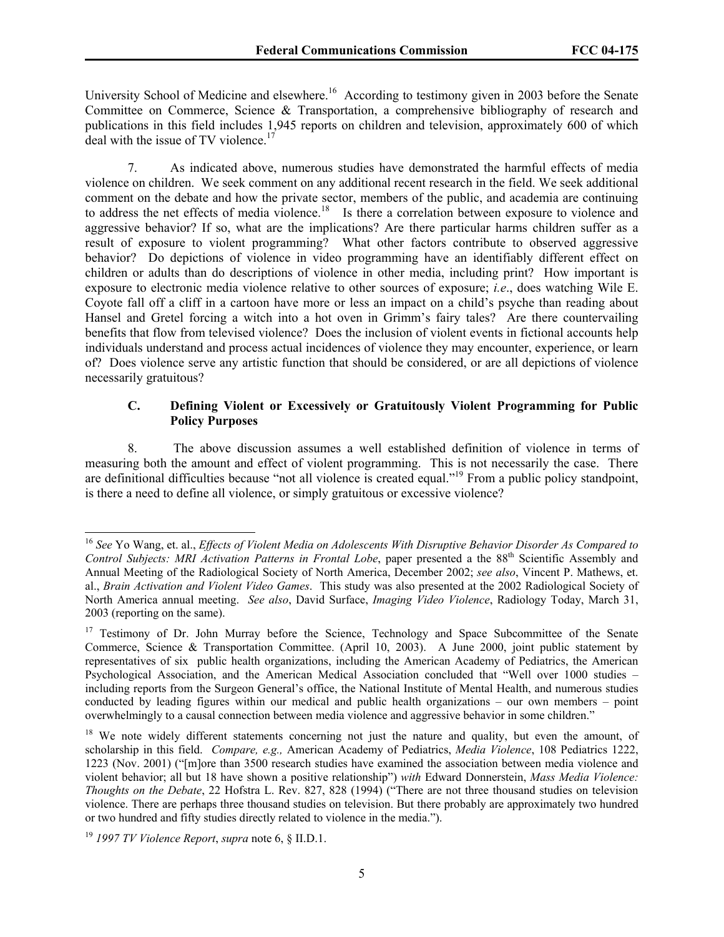University School of Medicine and elsewhere.<sup>16</sup> According to testimony given in 2003 before the Senate Committee on Commerce, Science & Transportation, a comprehensive bibliography of research and publications in this field includes 1,945 reports on children and television, approximately 600 of which deal with the issue of TV violence.<sup>17</sup>

7. As indicated above, numerous studies have demonstrated the harmful effects of media violence on children. We seek comment on any additional recent research in the field. We seek additional comment on the debate and how the private sector, members of the public, and academia are continuing to address the net effects of media violence.<sup>18</sup> Is there a correlation between exposure to violence and aggressive behavior? If so, what are the implications? Are there particular harms children suffer as a result of exposure to violent programming? What other factors contribute to observed aggressive behavior? Do depictions of violence in video programming have an identifiably different effect on children or adults than do descriptions of violence in other media, including print? How important is exposure to electronic media violence relative to other sources of exposure; *i.e*., does watching Wile E. Coyote fall off a cliff in a cartoon have more or less an impact on a child's psyche than reading about Hansel and Gretel forcing a witch into a hot oven in Grimm's fairy tales? Are there countervailing benefits that flow from televised violence? Does the inclusion of violent events in fictional accounts help individuals understand and process actual incidences of violence they may encounter, experience, or learn of? Does violence serve any artistic function that should be considered, or are all depictions of violence necessarily gratuitous?

# **C. Defining Violent or Excessively or Gratuitously Violent Programming for Public Policy Purposes**

8. The above discussion assumes a well established definition of violence in terms of measuring both the amount and effect of violent programming. This is not necessarily the case. There are definitional difficulties because "not all violence is created equal."19 From a public policy standpoint, is there a need to define all violence, or simply gratuitous or excessive violence?

<sup>16</sup> *See* Yo Wang, et. al., *Effects of Violent Media on Adolescents With Disruptive Behavior Disorder As Compared to Control Subjects: MRI Activation Patterns in Frontal Lobe*, paper presented a the 88<sup>th</sup> Scientific Assembly and Annual Meeting of the Radiological Society of North America, December 2002; *see also*, Vincent P. Mathews, et. al., *Brain Activation and Violent Video Games*. This study was also presented at the 2002 Radiological Society of North America annual meeting. *See also*, David Surface, *Imaging Video Violence*, Radiology Today, March 31, 2003 (reporting on the same).

<sup>&</sup>lt;sup>17</sup> Testimony of Dr. John Murray before the Science, Technology and Space Subcommittee of the Senate Commerce, Science & Transportation Committee. (April 10, 2003). A June 2000, joint public statement by representatives of six public health organizations, including the American Academy of Pediatrics, the American Psychological Association, and the American Medical Association concluded that "Well over 1000 studies – including reports from the Surgeon General's office, the National Institute of Mental Health, and numerous studies conducted by leading figures within our medical and public health organizations – our own members – point overwhelmingly to a causal connection between media violence and aggressive behavior in some children."

<sup>&</sup>lt;sup>18</sup> We note widely different statements concerning not just the nature and quality, but even the amount, of scholarship in this field. *Compare, e.g.,* American Academy of Pediatrics, *Media Violence*, 108 Pediatrics 1222, 1223 (Nov. 2001) ("[m]ore than 3500 research studies have examined the association between media violence and violent behavior; all but 18 have shown a positive relationship") *with* Edward Donnerstein, *Mass Media Violence: Thoughts on the Debate*, 22 Hofstra L. Rev. 827, 828 (1994) ("There are not three thousand studies on television violence. There are perhaps three thousand studies on television. But there probably are approximately two hundred or two hundred and fifty studies directly related to violence in the media.").

<sup>19</sup> *1997 TV Violence Report*, *supra* note 6, § II.D.1.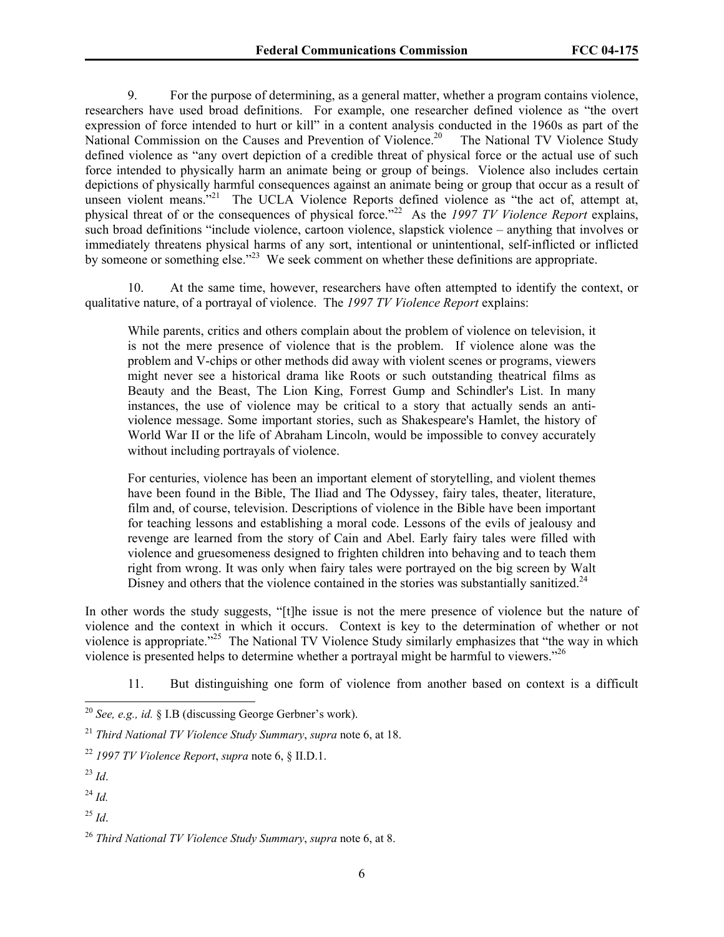9. For the purpose of determining, as a general matter, whether a program contains violence, researchers have used broad definitions. For example, one researcher defined violence as "the overt expression of force intended to hurt or kill" in a content analysis conducted in the 1960s as part of the National Commission on the Causes and Prevention of Violence.<sup>20</sup> The National TV Violence Study defined violence as "any overt depiction of a credible threat of physical force or the actual use of such force intended to physically harm an animate being or group of beings. Violence also includes certain depictions of physically harmful consequences against an animate being or group that occur as a result of unseen violent means."<sup>21</sup> The UCLA Violence Reports defined violence as "the act of, attempt at, physical threat of or the consequences of physical force."22 As the *1997 TV Violence Report* explains, such broad definitions "include violence, cartoon violence, slapstick violence – anything that involves or immediately threatens physical harms of any sort, intentional or unintentional, self-inflicted or inflicted by someone or something else."<sup>23</sup> We seek comment on whether these definitions are appropriate.

10. At the same time, however, researchers have often attempted to identify the context, or qualitative nature, of a portrayal of violence. The *1997 TV Violence Report* explains:

While parents, critics and others complain about the problem of violence on television, it is not the mere presence of violence that is the problem. If violence alone was the problem and V-chips or other methods did away with violent scenes or programs, viewers might never see a historical drama like Roots or such outstanding theatrical films as Beauty and the Beast, The Lion King, Forrest Gump and Schindler's List. In many instances, the use of violence may be critical to a story that actually sends an antiviolence message. Some important stories, such as Shakespeare's Hamlet, the history of World War II or the life of Abraham Lincoln, would be impossible to convey accurately without including portrayals of violence.

For centuries, violence has been an important element of storytelling, and violent themes have been found in the Bible, The Iliad and The Odyssey, fairy tales, theater, literature, film and, of course, television. Descriptions of violence in the Bible have been important for teaching lessons and establishing a moral code. Lessons of the evils of jealousy and revenge are learned from the story of Cain and Abel. Early fairy tales were filled with violence and gruesomeness designed to frighten children into behaving and to teach them right from wrong. It was only when fairy tales were portrayed on the big screen by Walt Disney and others that the violence contained in the stories was substantially sanitized.<sup>24</sup>

In other words the study suggests, "[t]he issue is not the mere presence of violence but the nature of violence and the context in which it occurs. Context is key to the determination of whether or not violence is appropriate."25 The National TV Violence Study similarly emphasizes that "the way in which violence is presented helps to determine whether a portrayal might be harmful to viewers."26

11. But distinguishing one form of violence from another based on context is a difficult

<sup>&</sup>lt;sup>20</sup> *See, e.g., id.* § I.B (discussing George Gerbner's work).

<sup>21</sup> *Third National TV Violence Study Summary*, *supra* note 6, at 18.

<sup>22</sup> *1997 TV Violence Report*, *supra* note 6, § II.D.1.

 $^{23}$  *Id*.

<sup>24</sup> *Id.*

<sup>25</sup> *Id*.

<sup>26</sup> *Third National TV Violence Study Summary*, *supra* note 6, at 8.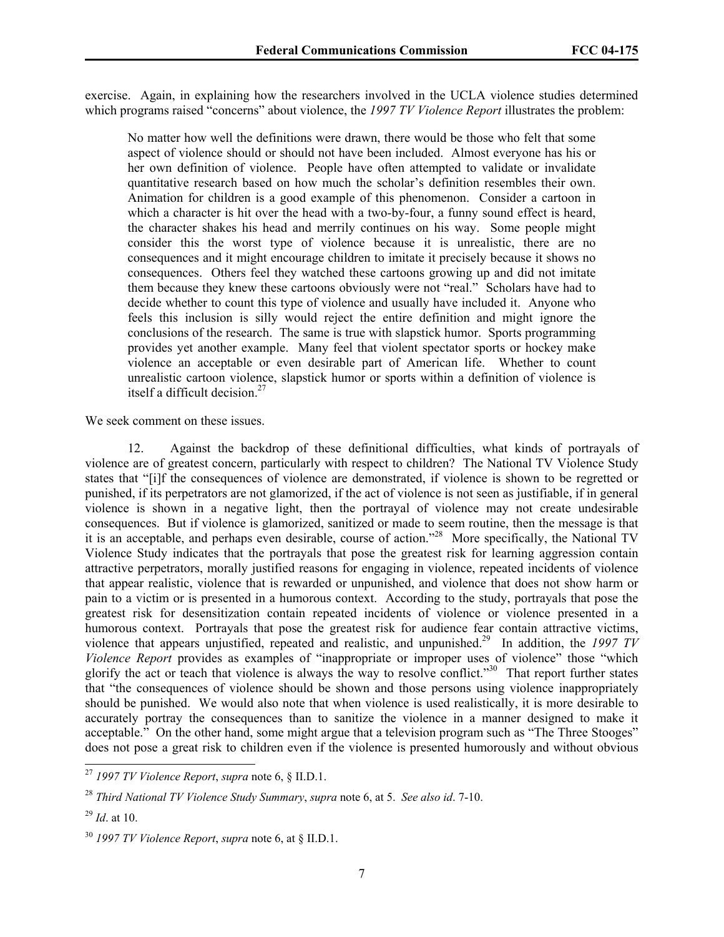exercise. Again, in explaining how the researchers involved in the UCLA violence studies determined which programs raised "concerns" about violence, the *1997 TV Violence Report* illustrates the problem:

No matter how well the definitions were drawn, there would be those who felt that some aspect of violence should or should not have been included. Almost everyone has his or her own definition of violence. People have often attempted to validate or invalidate quantitative research based on how much the scholar's definition resembles their own. Animation for children is a good example of this phenomenon. Consider a cartoon in which a character is hit over the head with a two-by-four, a funny sound effect is heard, the character shakes his head and merrily continues on his way. Some people might consider this the worst type of violence because it is unrealistic, there are no consequences and it might encourage children to imitate it precisely because it shows no consequences. Others feel they watched these cartoons growing up and did not imitate them because they knew these cartoons obviously were not "real." Scholars have had to decide whether to count this type of violence and usually have included it. Anyone who feels this inclusion is silly would reject the entire definition and might ignore the conclusions of the research. The same is true with slapstick humor. Sports programming provides yet another example. Many feel that violent spectator sports or hockey make violence an acceptable or even desirable part of American life. Whether to count unrealistic cartoon violence, slapstick humor or sports within a definition of violence is itself a difficult decision.<sup>27</sup>

We seek comment on these issues.

12. Against the backdrop of these definitional difficulties, what kinds of portrayals of violence are of greatest concern, particularly with respect to children? The National TV Violence Study states that "[i]f the consequences of violence are demonstrated, if violence is shown to be regretted or punished, if its perpetrators are not glamorized, if the act of violence is not seen as justifiable, if in general violence is shown in a negative light, then the portrayal of violence may not create undesirable consequences. But if violence is glamorized, sanitized or made to seem routine, then the message is that it is an acceptable, and perhaps even desirable, course of action."28 More specifically, the National TV Violence Study indicates that the portrayals that pose the greatest risk for learning aggression contain attractive perpetrators, morally justified reasons for engaging in violence, repeated incidents of violence that appear realistic, violence that is rewarded or unpunished, and violence that does not show harm or pain to a victim or is presented in a humorous context. According to the study, portrayals that pose the greatest risk for desensitization contain repeated incidents of violence or violence presented in a humorous context. Portrayals that pose the greatest risk for audience fear contain attractive victims, violence that appears unjustified, repeated and realistic, and unpunished.29 In addition, the *1997 TV Violence Report* provides as examples of "inappropriate or improper uses of violence" those "which glorify the act or teach that violence is always the way to resolve conflict."30 That report further states that "the consequences of violence should be shown and those persons using violence inappropriately should be punished. We would also note that when violence is used realistically, it is more desirable to accurately portray the consequences than to sanitize the violence in a manner designed to make it acceptable." On the other hand, some might argue that a television program such as "The Three Stooges" does not pose a great risk to children even if the violence is presented humorously and without obvious

<sup>27</sup> *1997 TV Violence Report*, *supra* note 6, § II.D.1.

<sup>28</sup> *Third National TV Violence Study Summary*, *supra* note 6, at 5. *See also id*. 7-10.

<sup>29</sup> *Id*. at 10.

<sup>30</sup> *1997 TV Violence Report*, *supra* note 6, at § II.D.1.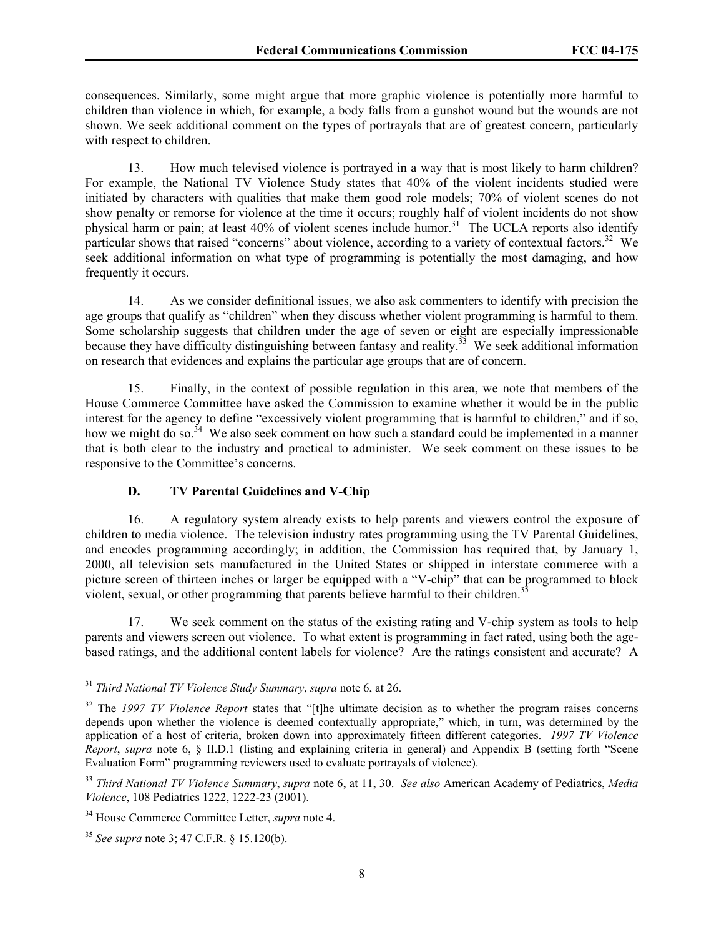consequences. Similarly, some might argue that more graphic violence is potentially more harmful to children than violence in which, for example, a body falls from a gunshot wound but the wounds are not shown. We seek additional comment on the types of portrayals that are of greatest concern, particularly with respect to children.

13. How much televised violence is portrayed in a way that is most likely to harm children? For example, the National TV Violence Study states that 40% of the violent incidents studied were initiated by characters with qualities that make them good role models; 70% of violent scenes do not show penalty or remorse for violence at the time it occurs; roughly half of violent incidents do not show physical harm or pain; at least 40% of violent scenes include humor.<sup>31</sup> The UCLA reports also identify particular shows that raised "concerns" about violence, according to a variety of contextual factors.<sup>32</sup> We seek additional information on what type of programming is potentially the most damaging, and how frequently it occurs.

14. As we consider definitional issues, we also ask commenters to identify with precision the age groups that qualify as "children" when they discuss whether violent programming is harmful to them. Some scholarship suggests that children under the age of seven or eight are especially impressionable because they have difficulty distinguishing between fantasy and reality.<sup>33</sup> We seek additional information on research that evidences and explains the particular age groups that are of concern.

15. Finally, in the context of possible regulation in this area, we note that members of the House Commerce Committee have asked the Commission to examine whether it would be in the public interest for the agency to define "excessively violent programming that is harmful to children," and if so, how we might do so.<sup>34</sup> We also seek comment on how such a standard could be implemented in a manner that is both clear to the industry and practical to administer. We seek comment on these issues to be responsive to the Committee's concerns.

# **D. TV Parental Guidelines and V-Chip**

16. A regulatory system already exists to help parents and viewers control the exposure of children to media violence. The television industry rates programming using the TV Parental Guidelines, and encodes programming accordingly; in addition, the Commission has required that, by January 1, 2000, all television sets manufactured in the United States or shipped in interstate commerce with a picture screen of thirteen inches or larger be equipped with a "V-chip" that can be programmed to block violent, sexual, or other programming that parents believe harmful to their children.<sup>3</sup>

17. We seek comment on the status of the existing rating and V-chip system as tools to help parents and viewers screen out violence. To what extent is programming in fact rated, using both the agebased ratings, and the additional content labels for violence? Are the ratings consistent and accurate? A

<sup>31</sup> *Third National TV Violence Study Summary*, *supra* note 6, at 26.

<sup>&</sup>lt;sup>32</sup> The *1997 TV Violence Report* states that "[t]he ultimate decision as to whether the program raises concerns depends upon whether the violence is deemed contextually appropriate," which, in turn, was determined by the application of a host of criteria, broken down into approximately fifteen different categories. *1997 TV Violence Report*, *supra* note 6, § II.D.1 (listing and explaining criteria in general) and Appendix B (setting forth "Scene Evaluation Form" programming reviewers used to evaluate portrayals of violence).

<sup>33</sup> *Third National TV Violence Summary*, *supra* note 6, at 11, 30. *See also* American Academy of Pediatrics, *Media Violence*, 108 Pediatrics 1222, 1222-23 (2001).

<sup>34</sup> House Commerce Committee Letter, *supra* note 4.

<sup>35</sup> *See supra* note 3; 47 C.F.R. § 15.120(b).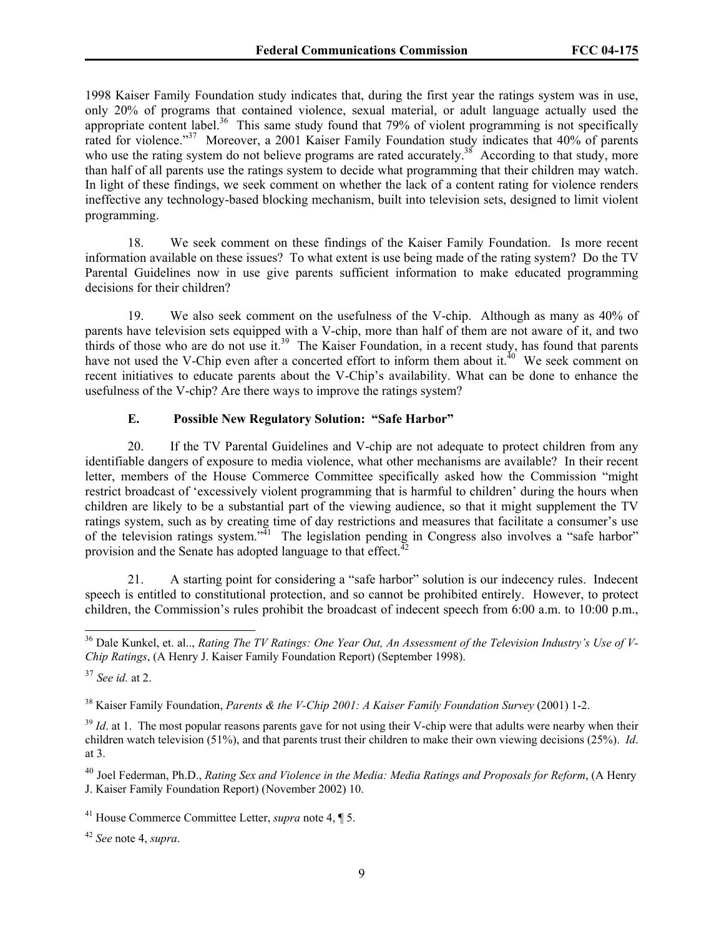1998 Kaiser Family Foundation study indicates that, during the first year the ratings system was in use, only 20% of programs that contained violence, sexual material, or adult language actually used the appropriate content label.<sup>36</sup> This same study found that 79% of violent programming is not specifically rated for violence."<sup>37</sup> Moreover, a 2001 Kaiser Family Foundation study indicates that 40% of parents who use the rating system do not believe programs are rated accurately.<sup>38</sup> According to that study, more than half of all parents use the ratings system to decide what programming that their children may watch. In light of these findings, we seek comment on whether the lack of a content rating for violence renders ineffective any technology-based blocking mechanism, built into television sets, designed to limit violent programming.

18. We seek comment on these findings of the Kaiser Family Foundation. Is more recent information available on these issues? To what extent is use being made of the rating system? Do the TV Parental Guidelines now in use give parents sufficient information to make educated programming decisions for their children?

19. We also seek comment on the usefulness of the V-chip. Although as many as 40% of parents have television sets equipped with a V-chip, more than half of them are not aware of it, and two thirds of those who are do not use it.<sup>39</sup> The Kaiser Foundation, in a recent study, has found that parents have not used the V-Chip even after a concerted effort to inform them about it.<sup>40</sup> We seek comment on recent initiatives to educate parents about the V-Chip's availability. What can be done to enhance the usefulness of the V-chip? Are there ways to improve the ratings system?

# **E. Possible New Regulatory Solution: "Safe Harbor"**

20. If the TV Parental Guidelines and V-chip are not adequate to protect children from any identifiable dangers of exposure to media violence, what other mechanisms are available? In their recent letter, members of the House Commerce Committee specifically asked how the Commission "might restrict broadcast of 'excessively violent programming that is harmful to children' during the hours when children are likely to be a substantial part of the viewing audience, so that it might supplement the TV ratings system, such as by creating time of day restrictions and measures that facilitate a consumer's use of the television ratings system."<sup>41</sup> The legislation pending in Congress also involves a "safe harbor" provision and the Senate has adopted language to that effect.<sup>42</sup>

21. A starting point for considering a "safe harbor" solution is our indecency rules. Indecent speech is entitled to constitutional protection, and so cannot be prohibited entirely. However, to protect children, the Commission's rules prohibit the broadcast of indecent speech from 6:00 a.m. to 10:00 p.m.,

 $\overline{\phantom{a}}$ 

38 Kaiser Family Foundation, *Parents & the V-Chip 2001: A Kaiser Family Foundation Survey* (2001) 1-2.

<sup>39</sup> *Id*. at 1. The most popular reasons parents gave for not using their V-chip were that adults were nearby when their children watch television (51%), and that parents trust their children to make their own viewing decisions (25%). *Id*. at 3.

<sup>40</sup> Joel Federman, Ph.D., *Rating Sex and Violence in the Media: Media Ratings and Proposals for Reform*, (A Henry J. Kaiser Family Foundation Report) (November 2002) 10.

<sup>42</sup> *See* note 4, *supra*.

<sup>36</sup> Dale Kunkel, et. al.., *Rating The TV Ratings: One Year Out, An Assessment of the Television Industry's Use of V-Chip Ratings*, (A Henry J. Kaiser Family Foundation Report) (September 1998).

<sup>37</sup> *See id.* at 2.

<sup>41</sup> House Commerce Committee Letter, *supra* note 4, ¶ 5.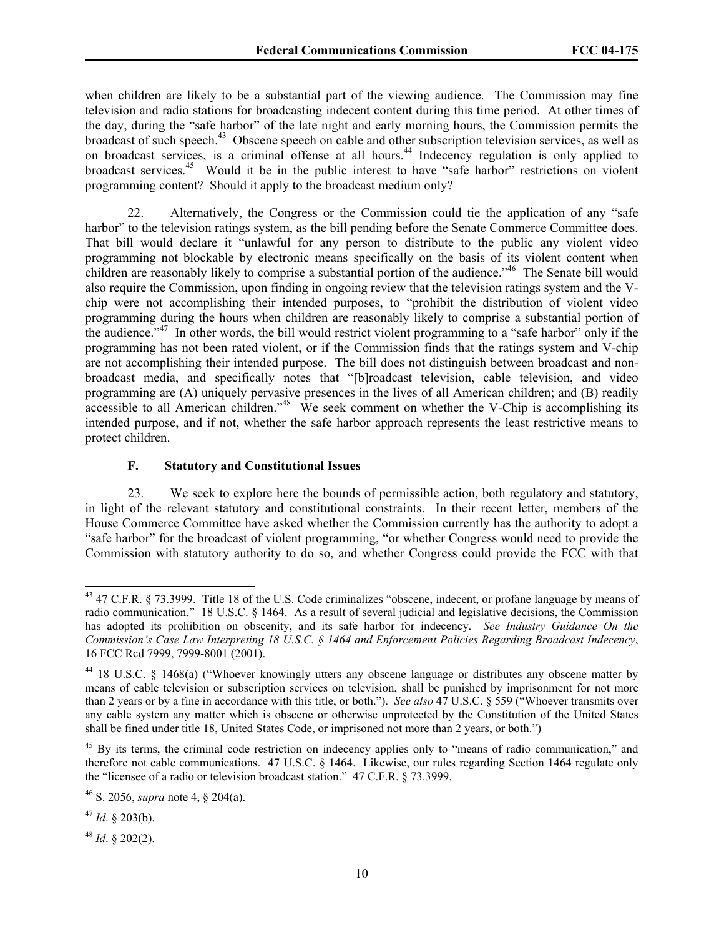when children are likely to be a substantial part of the viewing audience. The Commission may fine television and radio stations for broadcasting indecent content during this time period. At other times of the day, during the "safe harbor" of the late night and early morning hours, the Commission permits the broadcast of such speech.<sup>43</sup> Obscene speech on cable and other subscription television services, as well as on broadcast services, is a criminal offense at all hours.<sup>44</sup> Indecency regulation is only applied to broadcast services.<sup>45</sup> Would it be in the public interest to have "safe harbor" restrictions on violent programming content? Should it apply to the broadcast medium only?

22. Alternatively, the Congress or the Commission could tie the application of any "safe harbor" to the television ratings system, as the bill pending before the Senate Commerce Committee does. That bill would declare it "unlawful for any person to distribute to the public any violent video programming not blockable by electronic means specifically on the basis of its violent content when children are reasonably likely to comprise a substantial portion of the audience."<sup>46</sup> The Senate bill would also require the Commission, upon finding in ongoing review that the television ratings system and the Vchip were not accomplishing their intended purposes, to "prohibit the distribution of violent video programming during the hours when children are reasonably likely to comprise a substantial portion of the audience."47 In other words, the bill would restrict violent programming to a "safe harbor" only if the programming has not been rated violent, or if the Commission finds that the ratings system and V-chip are not accomplishing their intended purpose. The bill does not distinguish between broadcast and nonbroadcast media, and specifically notes that "[b]roadcast television, cable television, and video programming are (A) uniquely pervasive presences in the lives of all American children; and (B) readily accessible to all American children."<sup>48</sup> We seek comment on whether the V-Chip is accomplishing its intended purpose, and if not, whether the safe harbor approach represents the least restrictive means to protect children.

## **F. Statutory and Constitutional Issues**

23. We seek to explore here the bounds of permissible action, both regulatory and statutory, in light of the relevant statutory and constitutional constraints. In their recent letter, members of the House Commerce Committee have asked whether the Commission currently has the authority to adopt a "safe harbor" for the broadcast of violent programming, "or whether Congress would need to provide the Commission with statutory authority to do so, and whether Congress could provide the FCC with that

 $\overline{\phantom{a}}$ 

 $48$  *Id.* § 202(2).

<sup>&</sup>lt;sup>43</sup> 47 C.F.R. § 73.3999. Title 18 of the U.S. Code criminalizes "obscene, indecent, or profane language by means of radio communication." 18 U.S.C. § 1464. As a result of several judicial and legislative decisions, the Commission has adopted its prohibition on obscenity, and its safe harbor for indecency. *See Industry Guidance On the Commission's Case Law Interpreting 18 U.S.C. § 1464 and Enforcement Policies Regarding Broadcast Indecency*, 16 FCC Rcd 7999, 7999-8001 (2001).

<sup>44 18</sup> U.S.C. § 1468(a) ("Whoever knowingly utters any obscene language or distributes any obscene matter by means of cable television or subscription services on television, shall be punished by imprisonment for not more than 2 years or by a fine in accordance with this title, or both."). *See also* 47 U.S.C. § 559 ("Whoever transmits over any cable system any matter which is obscene or otherwise unprotected by the Constitution of the United States shall be fined under title 18, United States Code, or imprisoned not more than 2 years, or both.")

<sup>&</sup>lt;sup>45</sup> By its terms, the criminal code restriction on indecency applies only to "means of radio communication," and therefore not cable communications. 47 U.S.C. § 1464. Likewise, our rules regarding Section 1464 regulate only the "licensee of a radio or television broadcast station." 47 C.F.R. § 73.3999.

<sup>46</sup> S. 2056, *supra* note 4, § 204(a).

 $47$  *Id.* § 203(b).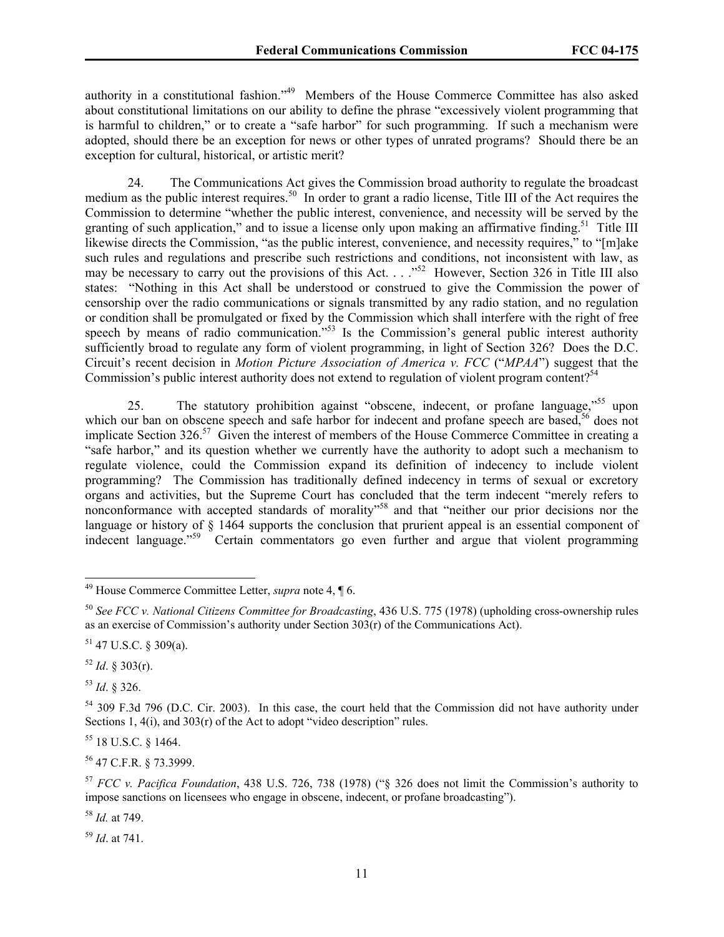authority in a constitutional fashion."49 Members of the House Commerce Committee has also asked about constitutional limitations on our ability to define the phrase "excessively violent programming that is harmful to children," or to create a "safe harbor" for such programming. If such a mechanism were adopted, should there be an exception for news or other types of unrated programs? Should there be an exception for cultural, historical, or artistic merit?

24. The Communications Act gives the Commission broad authority to regulate the broadcast medium as the public interest requires.<sup>50</sup> In order to grant a radio license, Title III of the Act requires the Commission to determine "whether the public interest, convenience, and necessity will be served by the granting of such application," and to issue a license only upon making an affirmative finding.<sup>51</sup> Title III likewise directs the Commission, "as the public interest, convenience, and necessity requires," to "[m]ake such rules and regulations and prescribe such restrictions and conditions, not inconsistent with law, as may be necessary to carry out the provisions of this Act.  $\cdot$  ..."<sup>52</sup> However, Section 326 in Title III also states: "Nothing in this Act shall be understood or construed to give the Commission the power of censorship over the radio communications or signals transmitted by any radio station, and no regulation or condition shall be promulgated or fixed by the Commission which shall interfere with the right of free speech by means of radio communication."<sup>53</sup> Is the Commission's general public interest authority sufficiently broad to regulate any form of violent programming, in light of Section 326? Does the D.C. Circuit's recent decision in *Motion Picture Association of America v. FCC* ("*MPAA*") suggest that the Commission's public interest authority does not extend to regulation of violent program content?<sup>54</sup>

25. The statutory prohibition against "obscene, indecent, or profane language,"<sup>55</sup> upon which our ban on obscene speech and safe harbor for indecent and profane speech are based,<sup>56</sup> does not implicate Section 326.<sup>57</sup> Given the interest of members of the House Commerce Committee in creating a "safe harbor," and its question whether we currently have the authority to adopt such a mechanism to regulate violence, could the Commission expand its definition of indecency to include violent programming? The Commission has traditionally defined indecency in terms of sexual or excretory organs and activities, but the Supreme Court has concluded that the term indecent "merely refers to nonconformance with accepted standards of morality"<sup>58</sup> and that "neither our prior decisions nor the language or history of § 1464 supports the conclusion that prurient appeal is an essential component of indecent language."<sup>59</sup> Certain commentators go even further and argue that violent programming

 $52$  *Id.* § 303(r).

<sup>53</sup> *Id*. § 326.

 $\overline{\phantom{a}}$ 

55 18 U.S.C. § 1464.

56 47 C.F.R. § 73.3999.

<sup>58</sup> *Id.* at 749.

<sup>59</sup> *Id*. at 741.

<sup>49</sup> House Commerce Committee Letter, *supra* note 4, ¶ 6.

<sup>50</sup> *See FCC v. National Citizens Committee for Broadcasting*, 436 U.S. 775 (1978) (upholding cross-ownership rules as an exercise of Commission's authority under Section 303(r) of the Communications Act).

<sup>51 47</sup> U.S.C. § 309(a).

<sup>&</sup>lt;sup>54</sup> 309 F.3d 796 (D.C. Cir. 2003). In this case, the court held that the Commission did not have authority under Sections 1, 4(i), and 303(r) of the Act to adopt "video description" rules.

<sup>57</sup> *FCC v. Pacifica Foundation*, 438 U.S. 726, 738 (1978) ("§ 326 does not limit the Commission's authority to impose sanctions on licensees who engage in obscene, indecent, or profane broadcasting").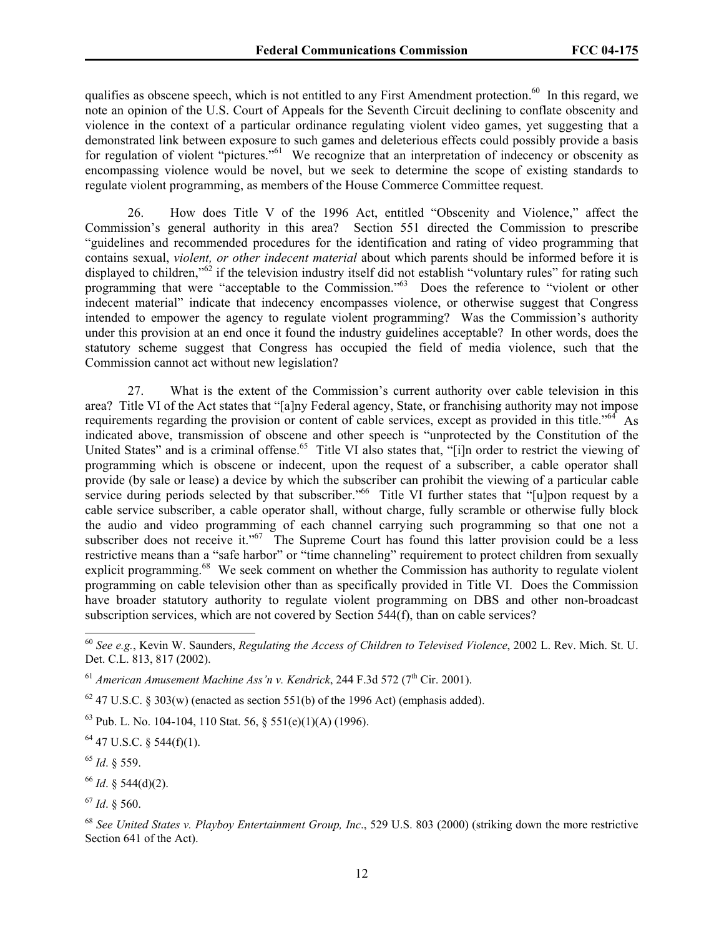qualifies as obscene speech, which is not entitled to any First Amendment protection.<sup>60</sup> In this regard, we note an opinion of the U.S. Court of Appeals for the Seventh Circuit declining to conflate obscenity and violence in the context of a particular ordinance regulating violent video games, yet suggesting that a demonstrated link between exposure to such games and deleterious effects could possibly provide a basis for regulation of violent "pictures."<sup>61</sup> We recognize that an interpretation of indecency or obscenity as encompassing violence would be novel, but we seek to determine the scope of existing standards to regulate violent programming, as members of the House Commerce Committee request.

26. How does Title V of the 1996 Act, entitled "Obscenity and Violence," affect the Commission's general authority in this area? Section 551 directed the Commission to prescribe "guidelines and recommended procedures for the identification and rating of video programming that contains sexual, *violent, or other indecent material* about which parents should be informed before it is displayed to children,"<sup>62</sup> if the television industry itself did not establish "voluntary rules" for rating such programming that were "acceptable to the Commission."<sup>63</sup> Does the reference to "violent or other indecent material" indicate that indecency encompasses violence, or otherwise suggest that Congress intended to empower the agency to regulate violent programming? Was the Commission's authority under this provision at an end once it found the industry guidelines acceptable? In other words, does the statutory scheme suggest that Congress has occupied the field of media violence, such that the Commission cannot act without new legislation?

27. What is the extent of the Commission's current authority over cable television in this area? Title VI of the Act states that "[a]ny Federal agency, State, or franchising authority may not impose requirements regarding the provision or content of cable services, except as provided in this title."64 As indicated above, transmission of obscene and other speech is "unprotected by the Constitution of the United States" and is a criminal offense.<sup>65</sup> Title VI also states that, "[i]n order to restrict the viewing of programming which is obscene or indecent, upon the request of a subscriber, a cable operator shall provide (by sale or lease) a device by which the subscriber can prohibit the viewing of a particular cable service during periods selected by that subscriber.<sup>"66</sup> Title VI further states that "[u]pon request by a cable service subscriber, a cable operator shall, without charge, fully scramble or otherwise fully block the audio and video programming of each channel carrying such programming so that one not a subscriber does not receive it."<sup>67</sup> The Supreme Court has found this latter provision could be a less restrictive means than a "safe harbor" or "time channeling" requirement to protect children from sexually explicit programming.<sup>68</sup> We seek comment on whether the Commission has authority to regulate violent programming on cable television other than as specifically provided in Title VI. Does the Commission have broader statutory authority to regulate violent programming on DBS and other non-broadcast subscription services, which are not covered by Section 544(f), than on cable services?

 $62$  47 U.S.C. § 303(w) (enacted as section 551(b) of the 1996 Act) (emphasis added).

 $63$  Pub. L. No. 104-104, 110 Stat. 56,  $\frac{551(e)(1)(A)}{1996}$ .

64 47 U.S.C. § 544(f)(1).

<sup>65</sup> *Id*. § 559.

 $\overline{\phantom{a}}$ 

<sup>66</sup> *Id*. § 544(d)(2).

<sup>67</sup> *Id*. § 560.

<sup>60</sup> *See e.g.*, Kevin W. Saunders, *Regulating the Access of Children to Televised Violence*, 2002 L. Rev. Mich. St. U. Det. C.L. 813, 817 (2002).

<sup>&</sup>lt;sup>61</sup> American Amusement Machine Ass'n v. Kendrick, 244 F.3d 572 (7<sup>th</sup> Cir. 2001).

<sup>68</sup> *See United States v. Playboy Entertainment Group, Inc*., 529 U.S. 803 (2000) (striking down the more restrictive Section 641 of the Act).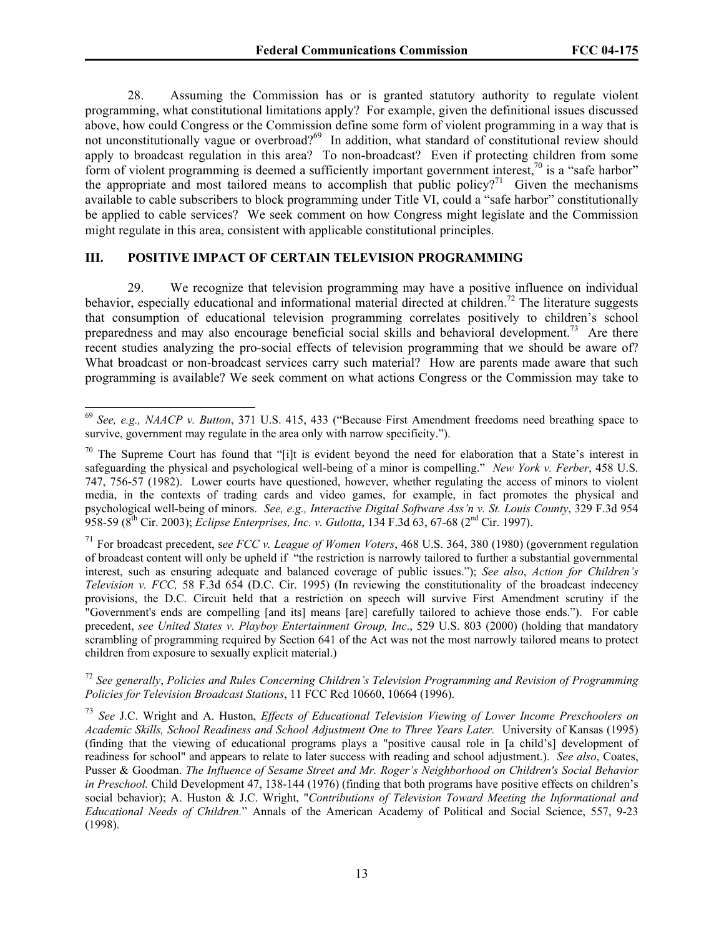28. Assuming the Commission has or is granted statutory authority to regulate violent programming, what constitutional limitations apply? For example, given the definitional issues discussed above, how could Congress or the Commission define some form of violent programming in a way that is not unconstitutionally vague or overbroad?<sup>69</sup> In addition, what standard of constitutional review should apply to broadcast regulation in this area? To non-broadcast? Even if protecting children from some form of violent programming is deemed a sufficiently important government interest,<sup>70</sup> is a "safe harbor" the appropriate and most tailored means to accomplish that public policy?<sup>71</sup> Given the mechanisms available to cable subscribers to block programming under Title VI, could a "safe harbor" constitutionally be applied to cable services? We seek comment on how Congress might legislate and the Commission might regulate in this area, consistent with applicable constitutional principles.

### **III. POSITIVE IMPACT OF CERTAIN TELEVISION PROGRAMMING**

 $\overline{a}$ 

29. We recognize that television programming may have a positive influence on individual behavior, especially educational and informational material directed at children.<sup>72</sup> The literature suggests that consumption of educational television programming correlates positively to children's school preparedness and may also encourage beneficial social skills and behavioral development.<sup>73</sup> Are there recent studies analyzing the pro-social effects of television programming that we should be aware of? What broadcast or non-broadcast services carry such material? How are parents made aware that such programming is available? We seek comment on what actions Congress or the Commission may take to

<sup>72</sup> *See generally*, *Policies and Rules Concerning Children's Television Programming and Revision of Programming Policies for Television Broadcast Stations*, 11 FCC Rcd 10660, 10664 (1996).

<sup>69</sup> *See, e.g., NAACP v. Button*, 371 U.S. 415, 433 ("Because First Amendment freedoms need breathing space to survive, government may regulate in the area only with narrow specificity.").

 $70$  The Supreme Court has found that "[i]t is evident beyond the need for elaboration that a State's interest in safeguarding the physical and psychological well-being of a minor is compelling." *New York v. Ferber*, 458 U.S. 747, 756-57 (1982). Lower courts have questioned, however, whether regulating the access of minors to violent media, in the contexts of trading cards and video games, for example, in fact promotes the physical and psychological well-being of minors. *See, e.g., Interactive Digital Software Ass'n v. St. Louis County*, 329 F.3d 954 958-59 (8th Cir. 2003); *Eclipse Enterprises, Inc. v. Gulotta*, 134 F.3d 63, 67-68 (2nd Cir. 1997).

<sup>71</sup> For broadcast precedent, s*ee FCC v. League of Women Voters*, 468 U.S. 364, 380 (1980) (government regulation of broadcast content will only be upheld if "the restriction is narrowly tailored to further a substantial governmental interest, such as ensuring adequate and balanced coverage of public issues."); *See also*, *Action for Children's Television v. FCC,* 58 F.3d 654 (D.C. Cir. 1995) (In reviewing the constitutionality of the broadcast indecency provisions, the D.C. Circuit held that a restriction on speech will survive First Amendment scrutiny if the "Government's ends are compelling [and its] means [are] carefully tailored to achieve those ends."). For cable precedent, *see United States v. Playboy Entertainment Group, Inc*., 529 U.S. 803 (2000) (holding that mandatory scrambling of programming required by Section 641 of the Act was not the most narrowly tailored means to protect children from exposure to sexually explicit material.)

<sup>73</sup> *See* J.C. Wright and A. Huston, *Effects of Educational Television Viewing of Lower Income Preschoolers on Academic Skills, School Readiness and School Adjustment One to Three Years Later.* University of Kansas (1995) (finding that the viewing of educational programs plays a "positive causal role in [a child's] development of readiness for school" and appears to relate to later success with reading and school adjustment.). *See also*, Coates, Pusser & Goodman. *The Influence of Sesame Street and Mr. Roger's Neighborhood on Children's Social Behavior in Preschool.* Child Development 47, 138-144 (1976) (finding that both programs have positive effects on children's social behavior); A. Huston & J.C. Wright, "*Contributions of Television Toward Meeting the Informational and Educational Needs of Children.*" Annals of the American Academy of Political and Social Science, 557, 9-23 (1998).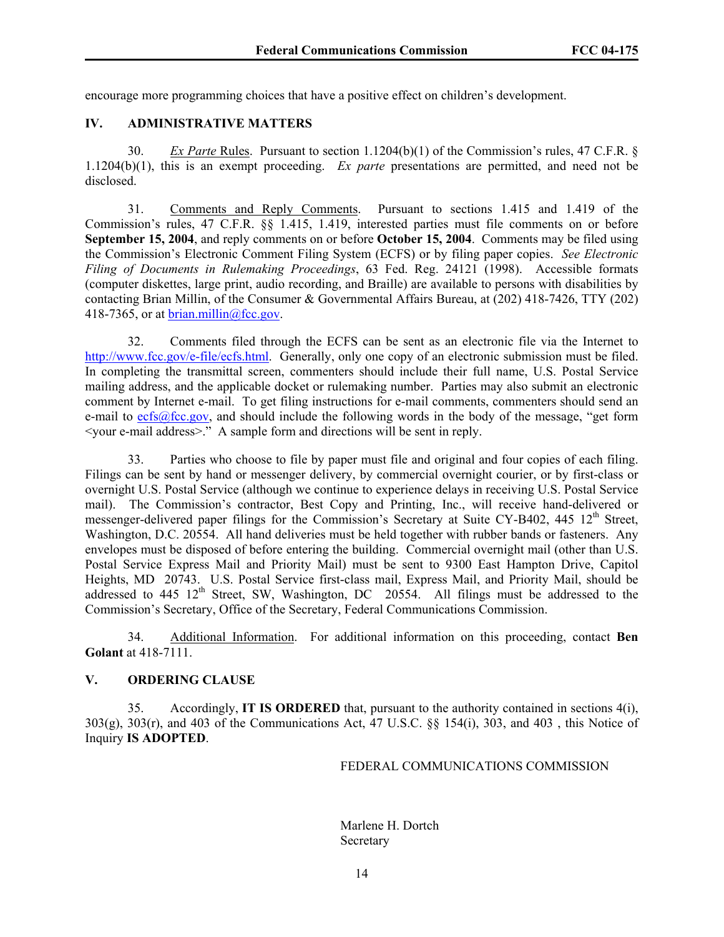encourage more programming choices that have a positive effect on children's development.

## **IV. ADMINISTRATIVE MATTERS**

30. *Ex Parte* Rules. Pursuant to section 1.1204(b)(1) of the Commission's rules, 47 C.F.R. § 1.1204(b)(1), this is an exempt proceeding. *Ex parte* presentations are permitted, and need not be disclosed.

31. Comments and Reply Comments. Pursuant to sections 1.415 and 1.419 of the Commission's rules, 47 C.F.R. §§ 1.415, 1.419, interested parties must file comments on or before **September 15, 2004**, and reply comments on or before **October 15, 2004**. Comments may be filed using the Commission's Electronic Comment Filing System (ECFS) or by filing paper copies. *See Electronic Filing of Documents in Rulemaking Proceedings*, 63 Fed. Reg. 24121 (1998). Accessible formats (computer diskettes, large print, audio recording, and Braille) are available to persons with disabilities by contacting Brian Millin, of the Consumer & Governmental Affairs Bureau, at (202) 418-7426, TTY (202) 418-7365, or at  $brain.millin@fcc.gov$ .

32. Comments filed through the ECFS can be sent as an electronic file via the Internet to http://www.fcc.gov/e-file/ecfs.html. Generally, only one copy of an electronic submission must be filed. In completing the transmittal screen, commenters should include their full name, U.S. Postal Service mailing address, and the applicable docket or rulemaking number. Parties may also submit an electronic comment by Internet e-mail. To get filing instructions for e-mail comments, commenters should send an e-mail to  $e$ cfs $@$ fcc.gov, and should include the following words in the body of the message, "get form <your e-mail address>." A sample form and directions will be sent in reply.

33. Parties who choose to file by paper must file and original and four copies of each filing. Filings can be sent by hand or messenger delivery, by commercial overnight courier, or by first-class or overnight U.S. Postal Service (although we continue to experience delays in receiving U.S. Postal Service mail). The Commission's contractor, Best Copy and Printing, Inc., will receive hand-delivered or messenger-delivered paper filings for the Commission's Secretary at Suite CY-B402, 445 12<sup>th</sup> Street, Washington, D.C. 20554. All hand deliveries must be held together with rubber bands or fasteners. Any envelopes must be disposed of before entering the building. Commercial overnight mail (other than U.S. Postal Service Express Mail and Priority Mail) must be sent to 9300 East Hampton Drive, Capitol Heights, MD 20743. U.S. Postal Service first-class mail, Express Mail, and Priority Mail, should be addressed to 445 12<sup>th</sup> Street, SW, Washington, DC 20554. All filings must be addressed to the Commission's Secretary, Office of the Secretary, Federal Communications Commission.

34. Additional Information. For additional information on this proceeding, contact **Ben Golant** at 418-7111.

# **V. ORDERING CLAUSE**

35. Accordingly, **IT IS ORDERED** that, pursuant to the authority contained in sections 4(i), 303(g), 303(r), and 403 of the Communications Act, 47 U.S.C. §§ 154(i), 303, and 403 , this Notice of Inquiry **IS ADOPTED**.

### FEDERAL COMMUNICATIONS COMMISSION

 Marlene H. Dortch Secretary